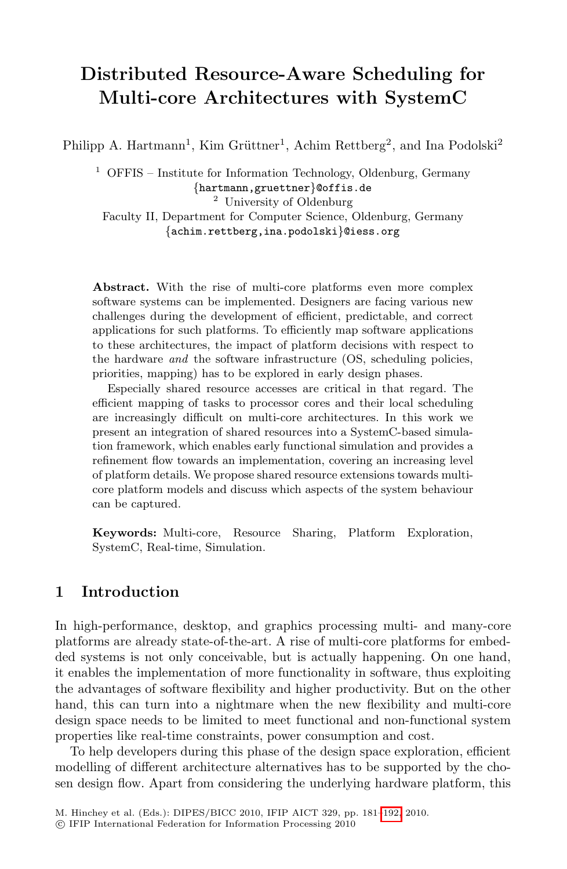# **Distributed Resource-Aware Scheduling for Multi-core Architectures with SystemC**

Philipp A. Hartmann<sup>1</sup>, Kim Grüttner<sup>1</sup>, Achim Rettberg<sup>2</sup>, and Ina Podolski<sup>2</sup>

 $^{\rm 1}$  OFFIS – Institute for Information Technology, Oldenburg, Germany {hartmann,gruettner}@offis.de <sup>2</sup> University of Oldenburg Faculty II, Department for Computer Science, Oldenburg, Germany {achim.rettberg,ina.podolski}@iess.org

**Abstract.** With the rise of multi-core platforms even more complex software systems can be implemented. Designers are facing various new challenges during the development of efficient, predictable, and correct applications for such platforms. To efficiently map software applications to these architectures, the impact of platform decisions with respect to the hardware *and* the software infrastructure (OS, scheduling policies, priorities, mapping) has to be explored in early design phases.

Especially shared resource accesses are critical in that regard. The efficient mapping of tasks to processor cores and their local scheduling are increasingly difficult on multi-core architectures. In this work we present an integration of shared resources into a SystemC-based simulation framework, which enables early functional simulation and provides a refinement flow towards an implementation, covering an increasing level of platform details. We propose shared resource extensions towards multicore platform models and discuss which aspects of the system behaviour can be captured.

**Keywords:** Multi-core, Resource Sharing, Platform Exploration, SystemC, Real-time, Simulation.

#### **1 Introduction**

In high-performance, desktop, and graphics processing multi- and many-core platforms are already state-of-the-art. A rise of multi-core platforms for embedded systems is not only conceivable, but is actually happening. On one hand, it enables the implementation of more functionality in software, thus exploiting the advantages of software flexibility [and](#page-11-0) higher productivity. But on the other hand, this can turn into a nightmare when the new flexibility and multi-core design space needs to be limited to meet functional and non-functional system properties like real-time constraints, power consumption and cost.

To help developers during this phase of the design space exploration, efficient modelling of different architecture alternatives has to be supported by the chosen design flow. Apart from considering the underlying hardware platform, this

M. Hinchey et al. (Eds.): DIPES/BICC 2010, IFIP AICT 329, pp. 181–192, 2010.

<sup>-</sup>c IFIP International Federation for Information Processing 2010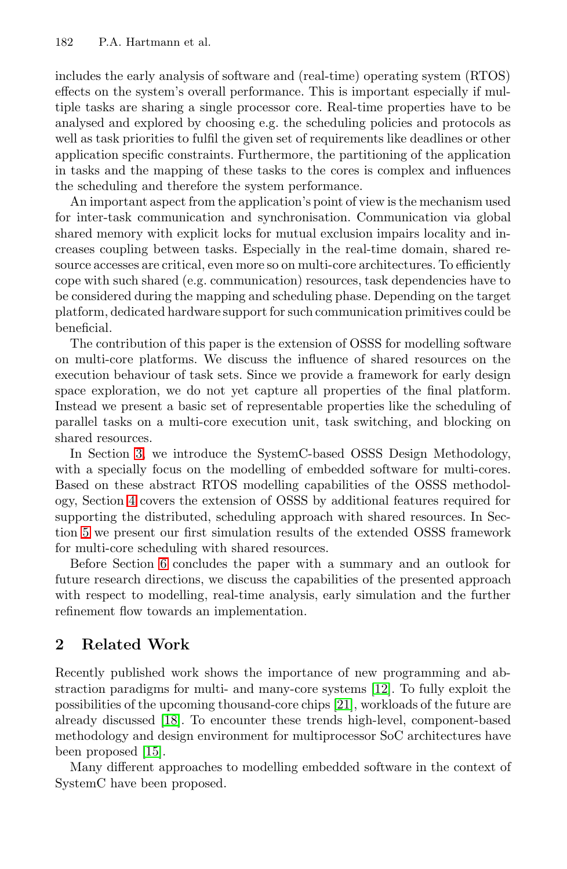includes the early analysis of software and (real-time) operating system (RTOS) effects on the system's overall performance. This is important especially if multiple tasks are sharing a single processor core. Real-time properties have to be analysed and explored by choosing e.g. the scheduling policies and protocols as well as task priorities to fulfil the given set of requirements like deadlines or other application specific constraints. Furthermore, the partitioning of the application in tasks and the mapping of these tasks to the cores is complex and influences the scheduling and therefore the system performance.

An important aspect from the application's point of view is the mechanism used for inter-task communication and synchronisation. Communication via global shared memory with explicit locks for mutual exclusion impairs locality and increases coupling between tasks. Especially in the real-time domain, shared resource accesses are critical, even more so on multi-core architectures. To efficiently cope with such shared (e.g. communication) resources, task dependencies have to be considered during the mapping and scheduling phase. Depending on the target platform, dedicated hardware support for such communication primitives could be beneficial.

The contribution of this paper is the extension of OSSS for modelling software on multi-core platforms. We discuss the influence of shared resources on the execution behaviour of task sets. Since we provide a framework for early design space exploration, we do not yet capture all properties of the final platform. Instead we present a basic set of representable properties like the scheduling of parallel tasks on a multi-core execution unit, task switching, and blocking on [s](#page-9-0)hared resources.

In Section 3, we introduce the SystemC-based OSSS Design Methodology, with a specially focus on the modelling of embedded software for multi-cores. Based on these abstract RTOS modelling capabilities of the OSSS methodology, Section 4 covers the extension of OSSS by additional features required for supporting the distributed, scheduling approach with shared resources. In Section 5 we present our first simulation results of the extended OSSS framework for multi-core scheduling with shared resources.

Before Section 6 concludes the [pape](#page-11-1)r with a summary and an outlook for future research directions, we [dis](#page-11-2)cuss the capabilities of the presented approach [wit](#page-11-3)h respect to modelling, real-time analysis, early simulation and the further refinement flow towards an implementation.

## **2 Related Work**

Recently published work shows the importance of new programming and abstraction paradigms for multi- and many-core systems [12]. To fully exploit the possibilities of the upcoming thousand-core chips [21], workloads of the future are already discussed [18]. To encounter these trends high-level, component-based methodology and design environment for multiprocessor SoC architectures have been proposed [15].

Many different approaches to modelling embedded software in the context of SystemC have been proposed.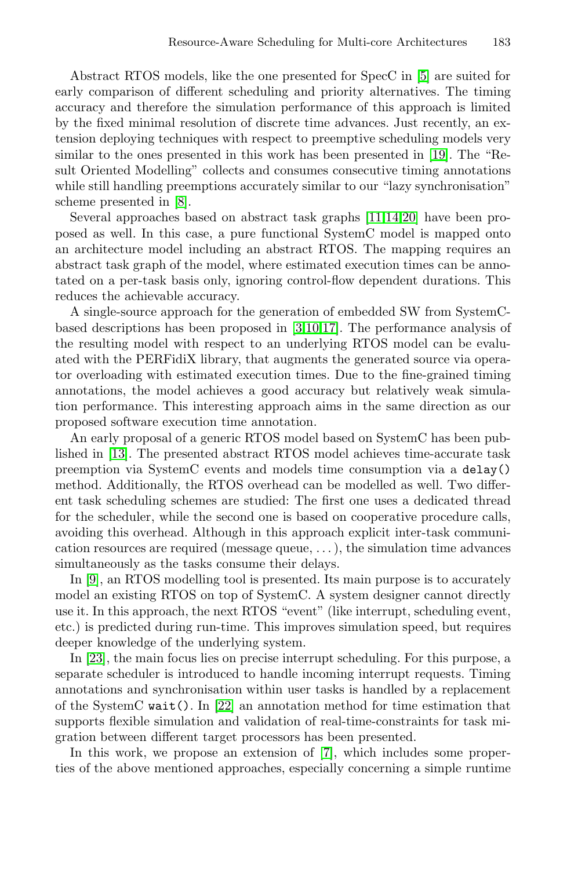[A](#page-10-0)bstract RTOS models, like the one presented for SpecC in [5] are suited for early comparison of different sche[duli](#page-11-5)[ng](#page-11-6) [an](#page-11-7)d priority alternatives. The timing accuracy and therefore the simulation performance of this approach is limited by the fixed minimal resolution of discrete time advances. Just recently, an extension deploying techniques with respect to preemptive scheduling models very similar to the ones presented in this work has been presented in [19]. The "Result Oriented Modelling" collects and consumes consecutive timing annotations while still handling preemptions accurately similar to our "lazy synchronisation" scheme presented in [8[\].](#page-10-1)

Several approaches b[ase](#page-10-2)[d](#page-11-8) [on](#page-11-8) abstract task graphs [11,14,20] have been proposed as well. In this case, a pure functional SystemC model is mapped onto an architecture model including an abstract RTOS. The mapping requires an abstract task graph of the model, where estimated execution times can be annotated on a per-task basis only, ignoring control-flow dependent durations. This reduces the achievable accuracy.

A single-source approach for the generation of embedded SW from SystemCbased descriptions has been proposed in [3,10,17]. The performance analysis of the resulting model with respect to an underlying RTOS model can be evaluated with the PERFidiX library, that augments the generated source via operator overloading with estimated execution times. Due to the fine-grained timing annotations, the model achieves a good accuracy but relatively weak simulation performance. This interesting approach aims in the same direction as our proposed software execution time annotation.

An early proposal of a generic RTOS model based on SystemC has been published in [13]. The presented abstract RTOS model achieves time-accurate task preemption via SystemC events and models time consumption via a delay() method. Additionally, the RTOS overhead can be modelled as well. Two different task scheduling schemes are studied: The first one uses a dedicated thread for the scheduler, while the second one is based on cooperative procedure calls, avoiding this overhead. Although in this approach explicit inter-task communication resources are required (message queue, . . . ), the simulation time advances simultaneously as the tasks consume their delays.

In [9], [an](#page-11-9) RTOS modelling tool is presented. Its main purpose is to accurately model an existing RTOS on top of SystemC. A system designer cannot directly use it. In this approach, the next RTOS "event" (like interrupt, scheduling event, etc.) is predicted during ru[n-t](#page-10-3)ime. This improves simulation speed, but requires deeper knowledge of the underlying system.

In [23], the main focus lies on precise interrupt scheduling. For this purpose, a separate scheduler is introduced to handle incoming interrupt requests. Timing annotations and synchronisation within user tasks is handled by a replacement of the SystemC wait(). In [22] an annotation method for time estimation that supports flexible simulation and validation of real-time-constraints for task migration between different target processors has been presented.

In this work, we propose an extension of [7], which includes some properties of the above mentioned approaches, especially concerning a simple runtime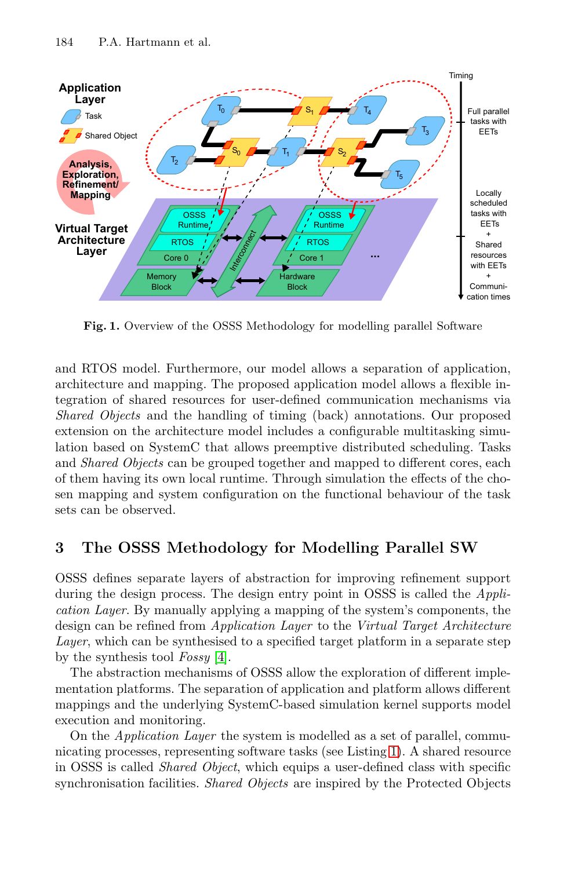

<span id="page-3-0"></span>Fig. 1. Overview of the OSSS Methodology for modelling parallel Software

<span id="page-3-1"></span>and RTOS model. Furthermore, our model allows a separation of application, architecture and mapping. The proposed application model allows a flexible integration of shared resources for user-defined communication mechanisms via *Shared Objects* and the handling of timing (back) annotations. Our proposed extension on the architecture model includes a configurable multitasking simulation based on SystemC that allows preemptive distributed scheduling. Tasks and *Shared Objects* can be grouped together and mapped to different cores, each of them having its own local runtime. Through simulation the effects of the chosen mapping and system configuration on the functional behaviour of the task sets can be observed.

## **3 Th[e](#page-10-4) OSSS Methodology for Modelling Parallel SW**

OSSS defines separate layers of abstraction for improving refinement support during the design process. The design entry point in OSSS is called the *Application Layer*. By manually applying a mapping of the system's components, the design can be refined from *Application [La](#page-4-0)yer* to the *Virtual Target Architecture Layer*, which can be synthesised to a specified target platform in a separate step by the synthesis tool *Fossy* [4].

The abstraction mechanisms of OSSS allow the exploration of different implementation platforms. The separation of application and platform allows different mappings and the underlying SystemC-based simulation kernel supports model execution and monitoring.

On the *Application Layer* the system is modelled as a set of parallel, communicating processes, representing software tasks (see Listing 1). A shared resource in OSSS is called *Shared Object*, which equips a user-defined class with specific synchronisation facilities. *Shared Objects* are inspired by the Protected Objects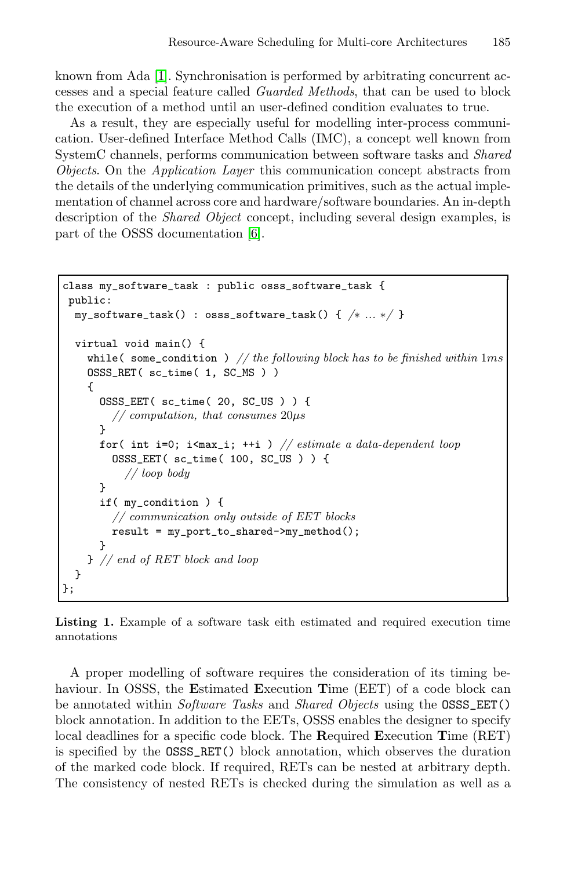known from Ada [1]. Synchronisation is performed by arbitrating concurrent accesses and a special feature called *Guarded Methods*, that can be used to block the execution [of](#page-10-5) a method until an user-defined condition evaluates to true.

<span id="page-4-0"></span>As a result, they are especially useful for modelling inter-process communication. User-defined Interface Method Calls (IMC), a concept well known from SystemC channels, performs communication between software tasks and *Shared Objects*. On the *Application Layer* this communication concept abstracts from the details of the underlying communication primitives, such as the actual implementation of channel across core and hardware/software boundaries. An in-depth description of the *Shared Object* concept, including several design examples, is part of the OSSS documentation [6].

```
class my_software_task : public osss_software_task {
public:
 my_software_task() : osss_software_task() { /∗ ... ∗/ }
  virtual void main() {
    while( some_condition ) // the following block has to be finished within 1ms
    OSSS_RET( sc_time( 1, SC_MS ) )
    {
      OSSS_EET( sc_time( 20, SC_US ) ) {
        // computation, that consumes 20µs
      }
      for( int i=0; i<max_i; ++i ) // estimate a data-dependent loop
        OSSS_EET( sc_time( 100, SC_US ) ) {
          // loop body
      }
      if( my_condition ) {
        // communication only outside of EET blocks
        result = my_port_to_shared->my_method();
      \mathbf{r}} // end of RET block and loop
 }
};
```
**Listing 1.** Example of a software task eith estimated and required execution time annotations

A proper modelling of software requires the consideration of its timing behaviour. In OSSS, the **E**stimated **E**xecution **T**ime (EET) of a code block can be annotated within *Software Tasks* and *Shared Objects* using the OSSS\_EET() block annotation. In addition to the EETs, OSSS enables the designer to specify local deadlines for a specific code block. The **R**equired **E**xecution **T**ime (RET) is specified by the OSSS\_RET() block annotation, which observes the duration of the marked code block. If required, RETs can be nested at arbitrary depth. The consistency of nested RETs is checked during the simulation as well as a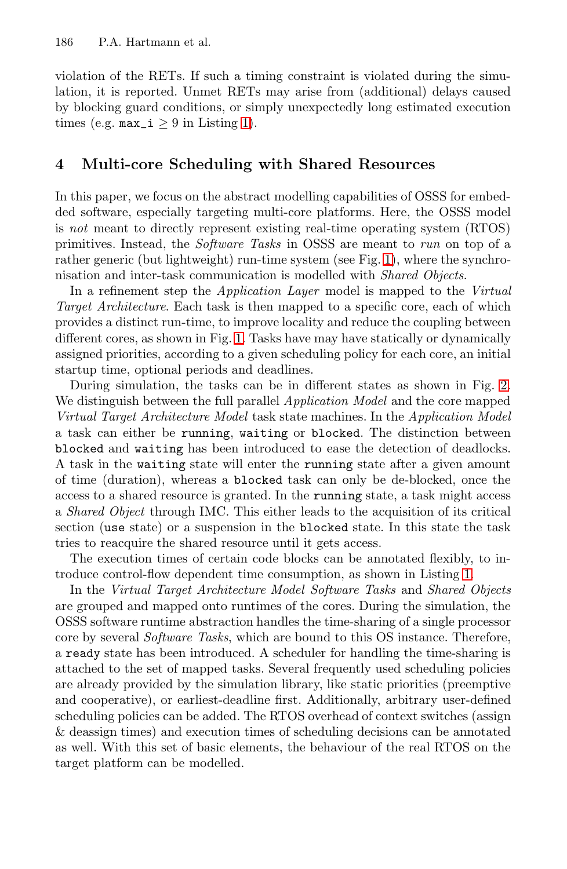<span id="page-5-0"></span>violation of the RETs. If such a timing constraint is violated during the simulation, it is reported. Unmet RETs may arise from (additional) delays caused by blocking guard conditions, or simply unexpectedly long estimated execution times (e.g.  $max_i > 9$  in Listing 1).

## **4 Multi-core Scheduling with Shared Resources**

In this paper, we focus on the abstract modelling capabilities of OSSS for embedded softwar[e,](#page-3-0) especially targeting multi-core platforms. Here, the OSSS model is *not* meant to directly represent existing real-time operating system (RTOS) primitives. Instead, the *Software Tasks* in OSSS are meant to *run* on top of a rather generic (but lightweight) run-time system (see Fig. [1\),](#page-6-0) where the synchronisation and inter-task communication is modelled with *Shared Objects*.

In a refinement step the *Application Layer* model is mapped to the *Virtual Target Architecture*. Each task is then mapped to a specific core, each of which provides a distinct run-time, to improve locality and reduce the coupling between different cores, as shown in Fig. 1. Tasks have may have statically or dynamically assigned priorities, according to a given scheduling policy for each core, an initial startup time, optional periods and deadlines.

During simulation, the tasks can be in different states as shown in Fig. 2. We distinguish between the full parallel *Application Model* and the core mapped *Virtual Target Architecture Model* task state machines. In the *Application Model* a task can either be running, waiting or blocked. The distinction between blocked and waiting has been introduced to ease [th](#page-4-0)e detection of deadlocks. A task in the waiting state will enter the running state after a given amount of time (duration), whereas a blocked task can only be de-blocked, once the access to a shared resource is granted. In the running state, a task might access a *Shared Object* through IMC. This either leads to the acquisition of its critical section (use state) or a suspension in the blocked state. In this state the task tries to reacquire the shared resource until it gets access.

The execution times of certain code blocks can be annotated flexibly, to introduce control-flow dependent time consumption, as shown in Listing 1.

In the *Virtual Target Architecture Model Software Tasks* and *Shared Objects* are grouped and mapped onto runtimes of the cores. During the simulation, the OSSS software runtime abstraction handles the time-sharing of a single processor core by several *Software Tasks*, which are bound to this OS instance. Therefore, a ready state has been introduced. A scheduler for handling the time-sharing is attached to the set of mapped tasks. Several frequently used scheduling policies are already provided by the simulation library, like static priorities (preemptive and cooperative), or earliest-deadline first. Additionally, arbitrary user-defined scheduling policies can be added. The RTOS overhead of context switches (assign & deassign times) and execution times of scheduling decisions can be annotated as well. With this set of basic elements, the behaviour of the real RTOS on the target platform can be modelled.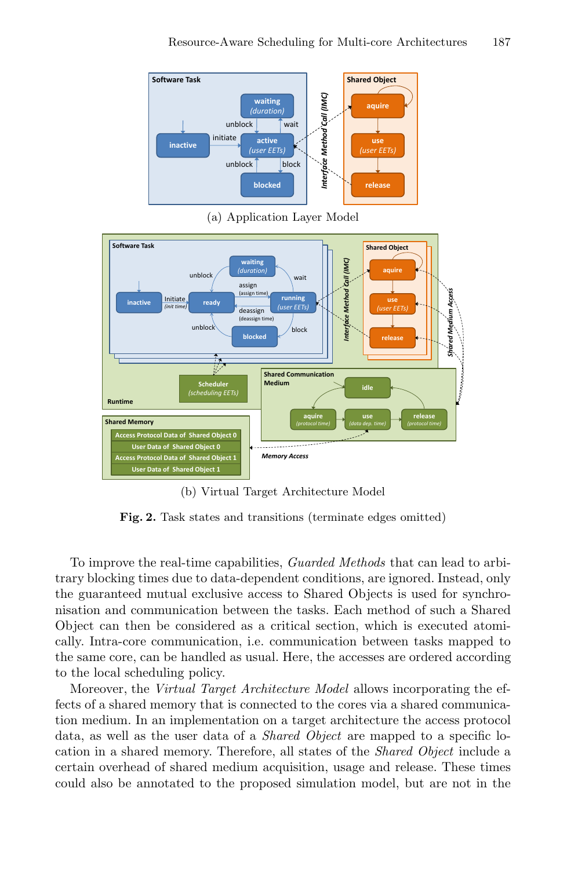

(b) Virtual Target Architecture Model

<span id="page-6-0"></span>**Fig. 2.** Task states and transitions (terminate edges omitted)

To improve the real-time capabilities, *Guarded Methods* that can lead to arbitrary blocking times due to data-dependent conditions, are ignored. Instead, only the guaranteed mutual exclusive access to Shared Objects is used for synchronisation and communication between the tasks. Each method of such a Shared Object can then be considered as a critical section, which is executed atomically. Intra-core communication, i.e. communication between tasks mapped to the same core, can be handled as usual. Here, the accesses are ordered according to the local scheduling policy.

Moreover, the *Virtual Target Architecture Model* allows incorporating the effects of a shared memory that is connected to the cores via a shared communication medium. In an implementation on a target architecture the access protocol data, as well as the user data of a *Shared Object* are mapped to a specific location in a shared memory. Therefore, all states of the *Shared Object* include a certain overhead of shared medium acquisition, usage and release. These times could also be annotated to the proposed simulation model, but are not in the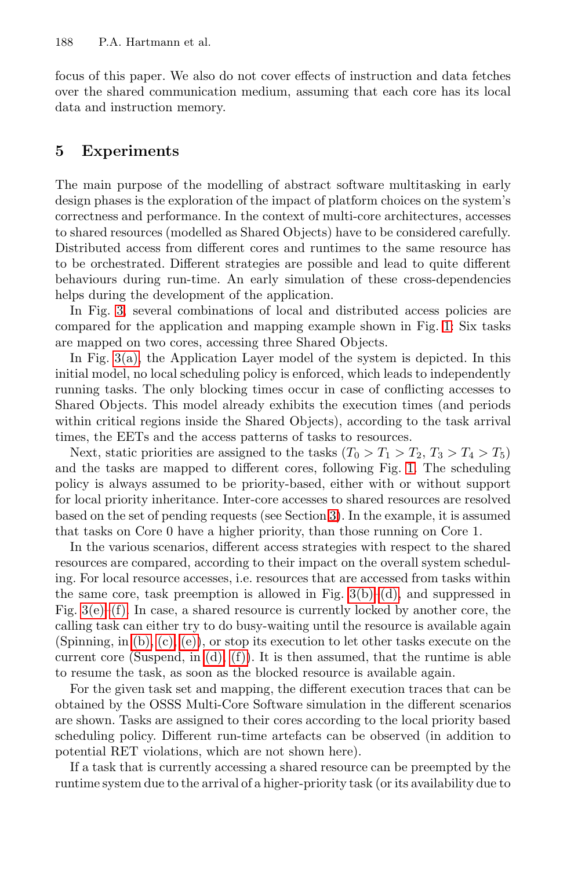focus of this paper. We also do not cover effects of instruction and data fetches over the shared communication medium, assuming that each core has its local data and instruction memory.

#### **5 Experiments**

The main purpose of the modelling of abstract software multitasking in early design phases is the exploration of the impact of [pla](#page-3-0)tform choices on the system's correctness and performance. In the context of multi-core architectures, accesses to shared resources (modelled as Shared Objects) have to be considered carefully. Distributed access from different cores and runtimes to the same resource has to be orchestrated. Different strategies are possible and lead to quite different behaviours during run-time. An early simulation of these cross-dependencies helps during the development of the application.

In Fig. 3, several combinations of local and distributed access policies are compared for the application and mapping example shown in Fig. 1: Six tasks are mapped on two cores, accessing three [Sh](#page-3-0)ared Objects.

In Fig. 3(a), the Application Layer model of the system is depicted. In this initial model, no local scheduling policy is enforced, which leads to independently running tasks. The only blo[ck](#page-3-1)ing times occur in case of conflicting accesses to Shared Objects. This model already exhibits the execution times (and periods within critical regions inside the Shared Objects), according to the task arrival times, the EETs and the access patterns of tasks to resources.

Next, static priorities are assigned to the tasks  $(T_0 > T_1 > T_2, T_3 > T_4 > T_5)$ and the tasks are mapped to d[iffere](#page-8-0)[nt c](#page-8-1)ores, following Fig. 1. The scheduling policy is always assumed to be priority-based, either with or without support for local priority inheritance. Inter-core accesses to shared resources are resolved [ba](#page-8-2)[sed](#page-8-3) on the set of pending requests (see Section 3). In the example, it is assumed that ta[sks](#page-8-1) [on C](#page-8-4)ore 0 have a higher priority, than those running on Core 1.

In the various scenarios, different access strategies with respect to the shared resources are compared, according to their impact on the overall system scheduling. For local resource accesses, i.e. resources that are accessed from tasks within the same core, task preemption is allowed in Fig.  $3(b)$ –(d), and suppressed in Fig.  $3(e)$ –(f). In case, a shared resource is currently locked by another core, the calling task can either try to do busy-waiting until the resource is available again (Spinning, in (b), (c), (e)), or stop its execution to let other tasks execute on the current core (Suspend, in (d), (f)). It is then assumed, that the runtime is able to resume the task, as soon as the blocked resource is available again.

For the given task set and mapping, the different execution traces that can be obtained by the OSSS Multi-Core Software simulation in the different scenarios are shown. Tasks are assigned to their cores according to the local priority based scheduling policy. Different run-time artefacts can be observed (in addition to potential RET violations, which are not shown here).

If a task that is currently accessing a shared resource can be preempted by the runtime system due to the arrival of a higher-priority task (or its availability due to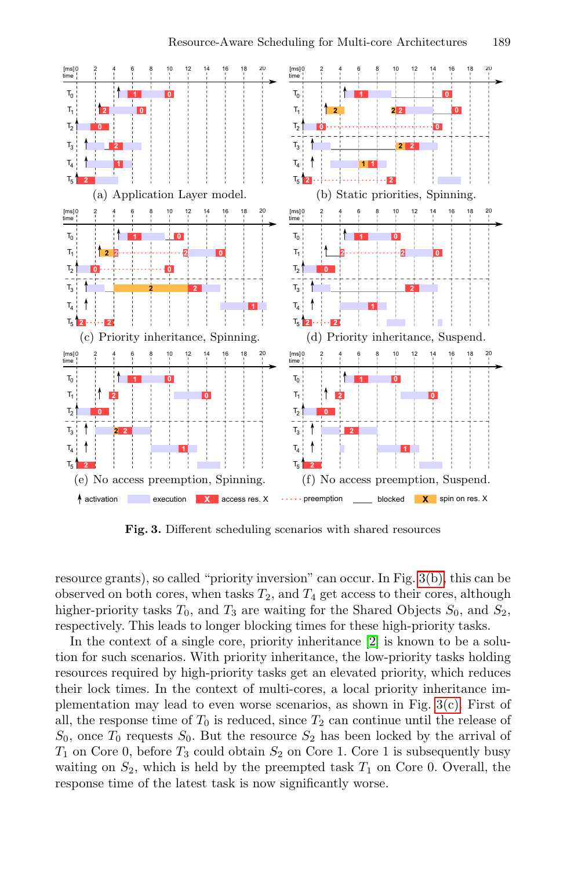<span id="page-8-0"></span>

↑

 $T_4$ 

[ms -2 2

time

 $T_0$  $T_4$ 

 $T_{2}$ 

 $T_3$  $T_4$  Ť  $\mathbf t$ 

<span id="page-8-1"></span> $\overline{\mathbf{c}}$ 1

1| 1

**-**

**-**

<span id="page-8-3"></span><span id="page-8-2"></span> $T_{\rm g}$  $T_5$  $\overline{a}$ **--**(b) Static priorities, Spinning. (a) Application Layer model.  $14$   $16$   $18$ -0 10 12  $14$  16 -:C [ms -2 2 4 6 8 10 12 [ms] 0 2 time time  $T_0$  $T_0$ ÷ <u>1</u>  $\bf{0}$ **-**1 | | | 0  $T_1$  $T_1$ **-** $\overline{0}$ **- -** $\bf{0}$   $\overline{0}$  $T_2$  $T_{2}$  $\bf{0}$  $\bf{0}$  $T_3$  $T_3$ ł ł. **--** $\overline{\mathbf{c}}$  $T_4$  $T_4$  $\mathbf t$ Ť  $\vert$  1 **-** $T_5$  $T_5$ r **--** $2 - 2$ (c) Priority inheritance, Spinning. (d) Priority inheritance, Suspend.  $10 - 12$  $14$   $16$   $18$ 16 18 [ms -2 2 20 [ms]0 2<br>time | 4 6 8 10 12 -'C time  $T_0$  **-** $T_0$  **-** $\overline{\mathbf{0}}$  $T_1$ ł.  $T_1$ ł **- -** $T_{2}$  $T_{2}$ **--** $\mathsf{T}_3$  $\uparrow$  $T_3$  $\mathbf{\hat{}}$  $\overline{2}$ 22  $T_4$  $\mathbf t$  $T_4$ Ť 11 <u>1</u>  $T_5$  $T_5$  $\overline{\mathbf{c}}$  $\overline{\mathbf{c}}$ (e) No access preemption, Spinning. (f) No access preemption, Suspend. execution preemption \_\_\_\_\_\_ blocked X spin on res. X activation exec tion <mark>X acc</mark>

<span id="page-8-4"></span>**Fig. 3.** Different scheduli[ng](#page-10-6) scenarios with shared resources

resource grants), so called "priority inversion" c[an oc](#page-8-2)cur. In Fig. 3(b), this can be observed on both cores, when tasks  $T_2$ , and  $T_4$  get access to their cores, although higher-priority tasks *T*0, and *T*<sup>3</sup> are waiting for the Shared Objects *S*0, and *S*2, respectively. This leads to longer blocking times for these high-priority tasks.

In the context of a single core, priority inheritance [2] is known to be a solution for such scenarios. With priority inheritance, the low-priority tasks holding resources required by high-priority tasks get an elevated priority, which reduces their lock times. In the context of multi-cores, a local priority inheritance implementation may lead to even worse scenarios, as shown in Fig. 3(c). First of all, the response time of  $T_0$  is reduced, since  $T_2$  can continue until the release of  $S_0$ , once  $T_0$  requests  $S_0$ . But the resource  $S_2$  has been locked by the arrival of  $T_1$  on Core 0, before  $T_3$  could obtain  $S_2$  on Core 1. Core 1 is subsequently busy waiting on  $S_2$ , which is held by the preempted task  $T_1$  on Core 0. Overall, the response time of the latest task is now significantly worse.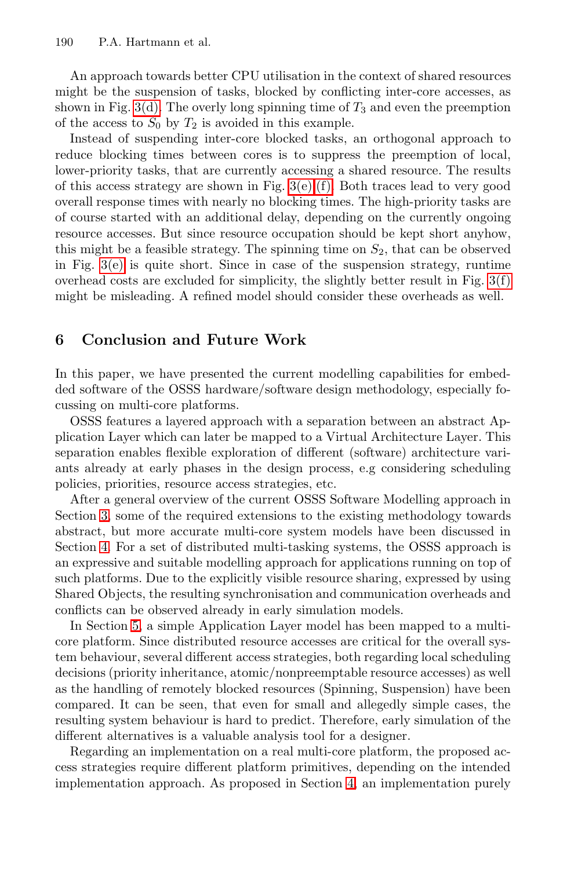An approach towar[ds](#page-8-3) [be](#page-8-3)[tter](#page-8-4) CPU utilisation in the context of shared resources might be the suspension of tasks, blocked by conflicting inter-core accesses, as shown in Fig.  $3(d)$ . The overly long spinning time of  $T_3$  and even the preemption of the access to  $S_0$  by  $T_2$  is avoided in this example.

<span id="page-9-0"></span>Instead of suspending inter-core blocked tasks, an orthogonal approach to reduce blocking times between cores is to suppress t[he pr](#page-8-4)eemption of local, lower-priority tasks, that are currently accessing a shared resource. The results of this access strategy are shown in Fig.  $3(e), (f)$ . Both traces lead to very good overall response times with nearly no blocking times. The high-priority tasks are of course started with an additional delay, depending on the currently ongoing resource accesses. But since resource occupation should be kept short anyhow, this might be a feasible strategy. The spinning time on  $S_2$ , that can be observed in Fig. 3(e) is quite short. Since in case of the suspension strategy, runtime overhead costs are excluded for simplicity, the slightly better result in Fig. 3(f) might be misleading. A refined model should consider these overheads as well.

## **6 Conclusion and Future Work**

In this paper, we have presented the current modelling capabilities for embedded software of the OSSS hardware/software design methodology, especially focussing on multi-core platforms.

OSSS features a layered approach with a separation between an abstract Application Layer which can later be mapped to a Virtual Architecture Layer. This separation enables flexible exploration of different (software) architecture variants already at early phases in the design process, e.g considering scheduling policies, priorities, resource access strategies, etc.

After a general overview of the current OSSS Software Modelling approach in Section 3, some of the required extensions to the existing methodology towards abstract, but more accurate multi-core system models have been discussed in Section 4. For a set of distributed multi-tasking systems, the OSSS approach is an expressive and suitable modelling approach for applications running on top of such platforms. Due to the explicitly visible resource sharing, expressed by using Shared Objects, the resulting synchronisation and communication overheads and conflicts can be observed already in early simulation models.

In Section 5, a simple Application Layer model has been mapped to a multicore platform. Since distributed resource accesses are critical for the overall system behaviour, several different [ac](#page-5-0)cess strategies, both regarding local scheduling decisions (priority inheritance, atomic/nonpreemptable resource accesses) as well as the handling of remotely blocked resources (Spinning, Suspension) have been compared. It can be seen, that even for small and allegedly simple cases, the resulting system behaviour is hard to predict. Therefore, early simulation of the different alternatives is a valuable analysis tool for a designer.

Regarding an implementation on a real multi-core platform, the proposed access strategies require different platform primitives, depending on the intended implementation approach. As proposed in Section 4, an implementation purely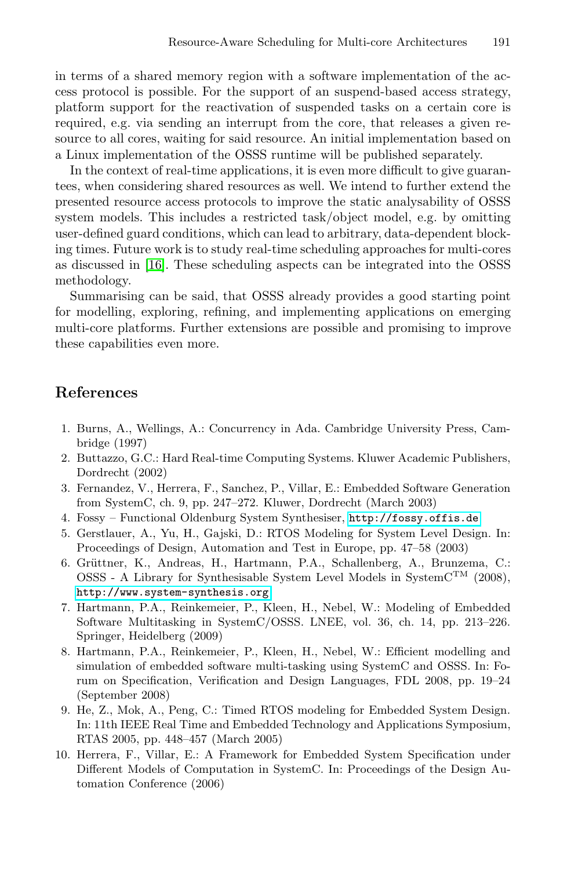in terms of a shared memory region with a software implementation of the access protocol is possible. For the support of an suspend-based access strategy, platform support for the reactivation of suspended tasks on a certain core is required, e.g. via sending an interrupt from the core, that releases a given resource to all cores, waiting for said resource. An initial implementation based on a Linux implementation of the OSSS runtime will be published separately.

In the context of real-time applications, it is even more difficult to give guarantees, when considering shared resources as well. We intend to further extend the presented resource access protocols to improve the static analysability of OSSS system models. This includes a restricted task/object model, e.g. by omitting user-defined guard conditions, which can lead to arbitrary, data-dependent blocking times. Future work is to study real-time scheduling approaches for multi-cores as discussed in [16]. These scheduling aspects can be integrated into the OSSS methodology.

<span id="page-10-6"></span>Summarising can be said, that OSSS already provides a good starting point for modelling, exploring, refining, and implementing applications on emerging multi-core platforms. Further extensions are possible and promising to improve these capabilities even more.

## <span id="page-10-5"></span><span id="page-10-4"></span><span id="page-10-1"></span>**References**

- 1. Burns, A., Wellings, A.: Concurrency in Ada. Cambridge University Press, Cambridge (1997)
- 2. Buttazzo, G.C.: Hard Real-time Computing Systems. Kluwer Academic Publishers, [Dordrecht \(2002\)](http://www.system-synthesis.org)
- <span id="page-10-3"></span>3. Fernandez, V., Herrera, F., Sanchez, P., Villar, E.: Embedded Software Generation from SystemC, ch. 9, pp. 247–272. Kluwer, Dordrecht (March 2003)
- <span id="page-10-0"></span>4. Fossy – Functional Oldenburg System Synthesiser, http://fossy.offis.de
- 5. Gerstlauer, A., Yu, H., Gajski, D.: RTOS Modeling for System Level Design. In: Proceedings of Design, Automation and Test in Europe, pp. 47–58 (2003)
- 6. Grüttner, K., Andreas, H., Hartmann, P.A., Schallenberg, A., Brunzema, C.: OSSS - A Library for Synthesisable System Level Models in System $C^{TM}$  (2008), http://www.system-synthesis.org
- <span id="page-10-2"></span>7. Hartmann, P.A., Reinkemeier, P., Kleen, H., Nebel, W.: Modeling of Embedded Software Multitasking in SystemC/OSSS. LNEE, vol. 36, ch. 14, pp. 213–226. Springer, Heidelberg (2009)
- 8. Hartmann, P.A., Reinkemeier, P., Kleen, H., Nebel, W.: Efficient modelling and simulation of embedded software multi-tasking using SystemC and OSSS. In: Forum on Specification, Verification and Design Languages, FDL 2008, pp. 19–24 (September 2008)
- 9. He, Z., Mok, A., Peng, C.: Timed RTOS modeling for Embedded System Design. In: 11th IEEE Real Time and Embedded Technology and Applications Symposium, RTAS 2005, pp. 448–457 (March 2005)
- 10. Herrera, F., Villar, E.: A Framework for Embedded System Specification under Different Models of Computation in SystemC. In: Proceedings of the Design Automation Conference (2006)